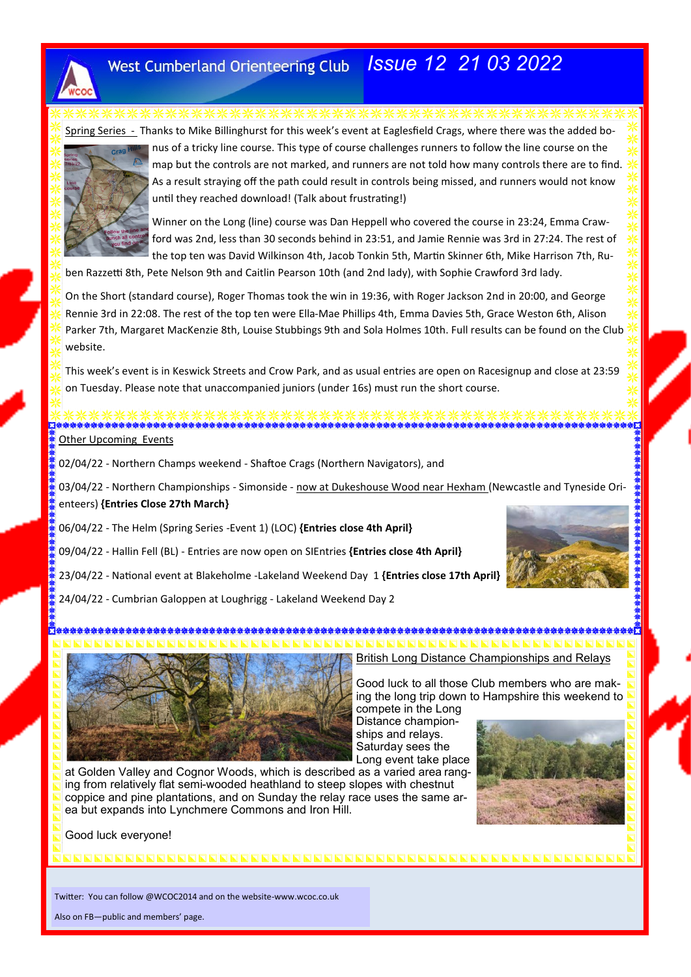

# *Issue 12 21 03 2022*

Spring Series - Thanks to Mike Billinghurst for this week's event at Eaglesfield Crags, where there was the added bo-



nus of a tricky line course. This type of course challenges runners to follow the line course on the map but the controls are not marked, and runners are not told how many controls there are to find. As a result straying off the path could result in controls being missed, and runners would not know until they reached download! (Talk about frustrating!)

Winner on the Long (line) course was Dan Heppell who covered the course in 23:24, Emma Crawford was 2nd, less than 30 seconds behind in 23:51, and Jamie Rennie was 3rd in 27:24. The rest of the top ten was David Wilkinson 4th, Jacob Tonkin 5th, Martin Skinner 6th, Mike Harrison 7th, Ru-

ben Razzetti 8th, Pete Nelson 9th and Caitlin Pearson 10th (and 2nd lady), with Sophie Crawford 3rd lady.

On the Short (standard course), Roger Thomas took the win in 19:36, with Roger Jackson 2nd in 20:00, and George Rennie 3rd in 22:08. The rest of the top ten were Ella-Mae Phillips 4th, Emma Davies 5th, Grace Weston 6th, Alison Parker 7th, Margaret MacKenzie 8th, Louise Stubbings 9th and Sola Holmes 10th. Full results can be found on the Club website.

This week's event is in Keswick Streets and Crow Park, and as usual entries are open on Racesignup and close at 23:59 on Tuesday. Please note that unaccompanied juniors (under 16s) must run the short course.

Other Upcoming Events

02/04/22 - Northern Champs weekend - Shaftoe Crags (Northern Navigators), and

03/04/22 - Northern Championships - Simonside - now at Dukeshouse Wood near Hexham (Newcastle and Tyneside Orienteers) **{Entries Close 27th March}**

06/04/22 - The Helm (Spring Series -Event 1) (LOC) **{Entries close 4th April}**

09/04/22 - Hallin Fell (BL) - Entries are now open on SIEntries **{Entries close 4th April}**

23/04/22 - National event at Blakeholme -Lakeland Weekend Day 1 **{Entries close 17th April}**

24/04/22 - Cumbrian Galoppen at Loughrigg - Lakeland Weekend Day 2





British Long Distance Championships and Relays

Good luck to all those Club members who are making the long trip down to Hampshire this weekend to

compete in the Long Distance championships and relays. Saturday sees the Long event take place

at Golden Valley and Cognor Woods, which is described as a varied area ranging from relatively flat semi-wooded heathland to steep slopes with chestnut coppice and pine plantations, and on Sunday the relay race uses the same area but expands into Lynchmere Commons and Iron Hill.



Good luck everyone!

Twitter: You can follow @WCOC2014 and on the website-www.wcoc.co.uk

Also on FB—public and members' page.